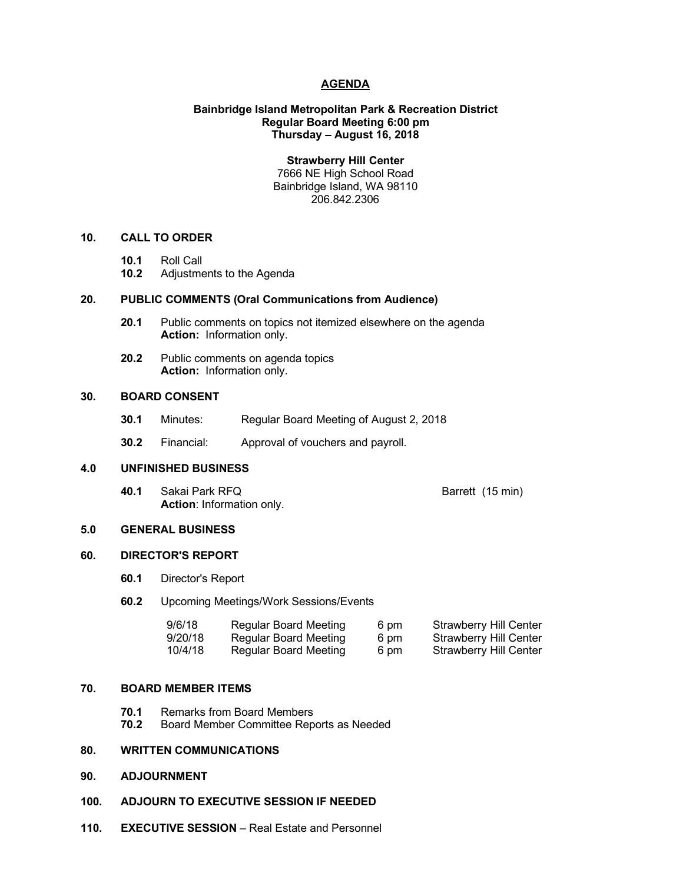#### **AGENDA**

## **Bainbridge Island Metropolitan Park & Recreation District Regular Board Meeting 6:00 pm Thursday – August 16, 2018**

**Strawberry Hill Center** 7666 NE High School Road

Bainbridge Island, WA 98110 206.842.2306

#### **10. CALL TO ORDER**

- **10.1** Roll Call
- **10.2** Adjustments to the Agenda

# **20. PUBLIC COMMENTS (Oral Communications from Audience)**

- **20.1** Public comments on topics not itemized elsewhere on the agenda **Action:** Information only.
- **20.2** Public comments on agenda topics **Action:** Information only.

# **30. BOARD CONSENT**

- **30.1** Minutes: Regular Board Meeting of August 2, 2018
- **30.2** Financial: Approval of vouchers and payroll.

# **4.0 UNFINISHED BUSINESS**

**40.1** Sakai Park RFQ **Barrett** (15 min) **Action**: Information only.

#### **5.0 GENERAL BUSINESS**

# **60. DIRECTOR'S REPORT**

- **60.1** Director's Report
- **60.2** Upcoming Meetings/Work Sessions/Events

| 9/6/18  | Regular Board Meeting        | 6 pm | <b>Strawberry Hill Center</b> |
|---------|------------------------------|------|-------------------------------|
| 9/20/18 | <b>Regular Board Meeting</b> | 6 pm | <b>Strawberry Hill Center</b> |
| 10/4/18 | Regular Board Meeting        | 6 pm | Strawberry Hill Center        |

# **70. BOARD MEMBER ITEMS**

- **70.1** Remarks from Board Members
- **70.2** Board Member Committee Reports as Needed

# **80. WRITTEN COMMUNICATIONS**

- **90. ADJOURNMENT**
- **100. ADJOURN TO EXECUTIVE SESSION IF NEEDED**
- **110. EXECUTIVE SESSION** Real Estate and Personnel